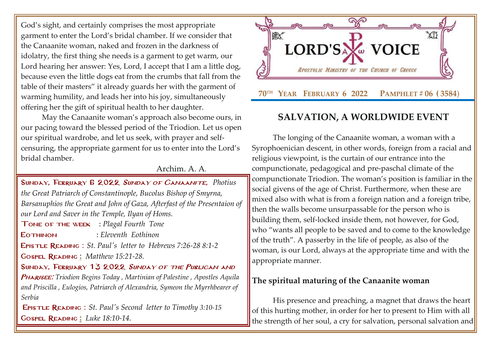God's sight, and certainly comprises the most appropriate garment to enter the Lord's bridal chamber. If we consider that the Canaanite woman, naked and frozen in the darkness of idolatry, the first thing she needs is a garment to get warm, our Lord hearing her answer: Yes, Lord, I accept that I am a little dog, because even the little dogs eat from the crumbs that fall from the table of their masters" it already guards her with the garment of warming humility, and leads her into his joy, simultaneously offering her the gift of spiritual health to her daughter.

May the Canaanite woman's approach also become ours, in our pacing toward the blessed period of the Triodion. Let us open our spiritual wardrobe, and let us seek, with prayer and selfcensuring, the appropriate garment for us to enter into the Lord's bridal chamber.

### Archim. A. A.

Sunday, February 6 2022 [Sunday of Canaanite,](http://www.goarch.org/chapel/saints?contentid=408&PCode=15LS&D=S&date=01/30/2022) *[Photius](http://www.goarch.org/chapel/saints?contentid=408&PCode=15LS&D=S&date=01/30/2022)  [the Great Patriarch of Constantinople, Bucolus Bishop of Smyrna,](http://www.goarch.org/chapel/saints?contentid=408&PCode=15LS&D=S&date=01/30/2022)  [Barsanuphios the Great and John of Gaza, Afterfast of the Presentaion of](http://www.goarch.org/chapel/saints?contentid=408&PCode=15LS&D=S&date=01/30/2022)  [our Lord and Saver in the Temple, Ilyan of Homs.](http://www.goarch.org/chapel/saints?contentid=408&PCode=15LS&D=S&date=01/30/2022)*

Tone of the week : *Plagal Fourth Tone*

Eothinon : *Eleventh Eothinon*

Epistle Reading : *[St. Paul's letter to Hebrews 7:26-28](http://www.goarch.org/chapel/lectionary?type=E&code=110&event=291&date=11/14/2021) 8:1-[2](http://www.goarch.org/chapel/lectionary?type=E&code=110&event=291&date=11/14/2021)*

Gospel Reading **[:](http://www.goarch.org/chapel/lectionary?type=G&code=362&event=218)** *[Matthew 15:21-28.](http://www.goarch.org/chapel/lectionary?type=G&code=402&event=408)*

SUNDAY, FEBRUARY 13 2022 SUNDAY OF THE PUBLICAN AND

Pharisee: *[Triodion Begins Today](http://www.goarch.org/chapel/saints?contentid=1150&PCode=PUBLICANS&D=S&date=02/13/2022) , [Martinian of Palestine](http://www.goarch.org/chapel/saints?contentid=427) , [Apostles Aquila](http://www.goarch.org/chapel/saints?contentid=530)  [and Priscilla](http://www.goarch.org/chapel/saints?contentid=530) , Eulogios, Patriarch of Alexandria, [Symeon the Myrrhbearer of](http://www.goarch.org/chapel/saints?contentid=1978)  [Serbia](http://www.goarch.org/chapel/saints?contentid=1978)*

Epistle Reading : *[St. Paul's Second letter to](http://www.goarch.org/chapel/lectionary?type=E&code=110&event=291&date=11/14/2021) Timothy [3:10-15](http://www.goarch.org/chapel/lectionary?type=E&code=110&event=291&date=11/14/2021)* Gospel Reading **[:](http://www.goarch.org/chapel/lectionary?type=G&code=362&event=218)** *[Luke 18:10-14.](http://www.goarch.org/chapel/lectionary?type=G&code=402&event=408)*



# **SALVATION, A WORLDWIDE EVENT**

The longing of the Canaanite woman, a woman with a Syrophoenician descent, in other words, foreign from a racial and religious viewpoint, is the curtain of our entrance into the compunctionate, pedagogical and pre-paschal climate of the compunctionate Triodion. The woman's position is familiar in the social givens of the age of Christ. Furthermore, when these are mixed also with what is from a foreign nation and a foreign tribe, then the walls become unsurpassable for the person who is building them, self-locked inside them, not however, for God, who "wants all people to be saved and to come to the knowledge of the truth". A passerby in the life of people, as also of the woman, is our Lord, always at the appropriate time and with the appropriate manner.

## **The spiritual maturing of the Canaanite woman**

His presence and preaching, a magnet that draws the heart of this hurting mother, in order for her to present to Him with all the strength of her soul, a cry for salvation, personal salvation and